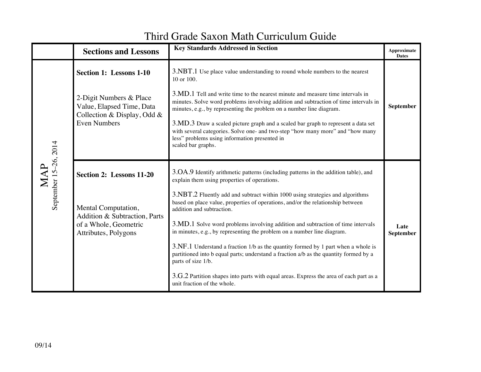## **Sections and Lessons Key Standards Addressed in Section Approximate Approximate Dates** MAP September 15 September 15-26, 2014 **Section 1: Lessons 1-10**  2-Digit Numbers & Place Value, Elapsed Time, Data Collection & Display, Odd & Even Numbers 3.NBT.1 Use place value understanding to round whole numbers to the nearest 10 or 100. 3.MD.1 Tell and write time to the nearest minute and measure time intervals in minutes. Solve word problems involving addition and subtraction of time intervals in minutes, e.g., by representing the problem on a number line diagram. 3.MD.3 Draw a scaled picture graph and a scaled bar graph to represent a data set with several categories. Solve one- and two-step "how many more" and "how many less" problems using information presented in scaled bar graphs. **September Section 2: Lessons 11-20** Mental Computation, Addition & Subtraction, Parts of a Whole, Geometric Attributes, Polygons 3.OA.9 Identify arithmetic patterns (including patterns in the addition table), and explain them using properties of operations. 3.NBT.2 Fluently add and subtract within 1000 using strategies and algorithms based on place value, properties of operations, and/or the relationship between addition and subtraction. 3.MD.1 Solve word problems involving addition and subtraction of time intervals in minutes, e.g., by representing the problem on a number line diagram. 3.NF.1 Understand a fraction 1/b as the quantity formed by 1 part when a whole is partitioned into b equal parts; understand a fraction a/b as the quantity formed by a parts of size 1/b. 3.G.2 Partition shapes into parts with equal areas. Express the area of each part as a unit fraction of the whole. **Late September**

## Third Grade Saxon Math Curriculum Guide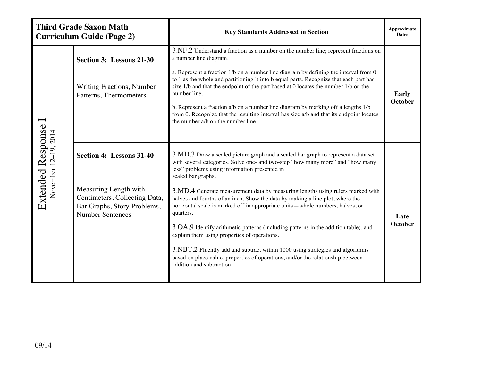|                                           | <b>Third Grade Saxon Math</b><br><b>Curriculum Guide (Page 2)</b>                                                                            | <b>Key Standards Addressed in Section</b>                                                                                                                                                                                                                                                                                                                                                                                                                                                                                                                                                                                                                                                                                                                                                                                                           | <b>Approximate</b><br><b>Dates</b> |
|-------------------------------------------|----------------------------------------------------------------------------------------------------------------------------------------------|-----------------------------------------------------------------------------------------------------------------------------------------------------------------------------------------------------------------------------------------------------------------------------------------------------------------------------------------------------------------------------------------------------------------------------------------------------------------------------------------------------------------------------------------------------------------------------------------------------------------------------------------------------------------------------------------------------------------------------------------------------------------------------------------------------------------------------------------------------|------------------------------------|
| Extended Response<br>November 12-19, 2014 | Section 3: Lessons 21-30<br><b>Writing Fractions, Number</b><br>Patterns, Thermometers                                                       | 3.NF.2 Understand a fraction as a number on the number line; represent fractions on<br>a number line diagram.<br>a. Represent a fraction 1/b on a number line diagram by defining the interval from 0<br>to 1 as the whole and partitioning it into b equal parts. Recognize that each part has<br>size 1/b and that the endpoint of the part based at 0 locates the number 1/b on the<br>number line.<br>b. Represent a fraction a/b on a number line diagram by marking off a lengths 1/b<br>from 0. Recognize that the resulting interval has size a/b and that its endpoint locates<br>the number a/b on the number line.                                                                                                                                                                                                                       | Early<br><b>October</b>            |
|                                           | Section 4: Lessons 31-40<br>Measuring Length with<br>Centimeters, Collecting Data,<br>Bar Graphs, Story Problems,<br><b>Number Sentences</b> | 3.MD.3 Draw a scaled picture graph and a scaled bar graph to represent a data set<br>with several categories. Solve one- and two-step "how many more" and "how many<br>less" problems using information presented in<br>scaled bar graphs.<br>3.MD.4 Generate measurement data by measuring lengths using rulers marked with<br>halves and fourths of an inch. Show the data by making a line plot, where the<br>horizontal scale is marked off in appropriate units—whole numbers, halves, or<br>quarters.<br>3.OA.9 Identify arithmetic patterns (including patterns in the addition table), and<br>explain them using properties of operations.<br>3.NBT.2 Fluently add and subtract within 1000 using strategies and algorithms<br>based on place value, properties of operations, and/or the relationship between<br>addition and subtraction. | Late<br><b>October</b>             |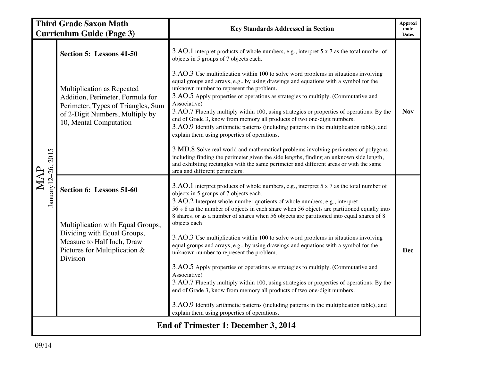| <b>Third Grade Saxon Math</b><br><b>Curriculum Guide (Page 3)</b> |                                                                                                                                                                   | <b>Key Standards Addressed in Section</b>                                                                                                                                                                                                                                                                                                                                                                                                                                                                                                                                                                                                         | Approxi<br>mate<br><b>Dates</b> |  |
|-------------------------------------------------------------------|-------------------------------------------------------------------------------------------------------------------------------------------------------------------|---------------------------------------------------------------------------------------------------------------------------------------------------------------------------------------------------------------------------------------------------------------------------------------------------------------------------------------------------------------------------------------------------------------------------------------------------------------------------------------------------------------------------------------------------------------------------------------------------------------------------------------------------|---------------------------------|--|
|                                                                   | Section 5: Lessons 41-50                                                                                                                                          | 3.AO.1 Interpret products of whole numbers, e.g., interpret 5 x 7 as the total number of<br>objects in 5 groups of 7 objects each.                                                                                                                                                                                                                                                                                                                                                                                                                                                                                                                |                                 |  |
| January 12-26, 2015<br>MAP                                        | Multiplication as Repeated<br>Addition, Perimeter, Formula for<br>Perimeter, Types of Triangles, Sum<br>of 2-Digit Numbers, Multiply by<br>10, Mental Computation | 3.AO.3 Use multiplication within 100 to solve word problems in situations involving<br>equal groups and arrays, e.g., by using drawings and equations with a symbol for the<br>unknown number to represent the problem.<br>3.AO.5 Apply properties of operations as strategies to multiply. (Commutative and<br>Associative)<br>3.AO.7 Fluently multiply within 100, using strategies or properties of operations. By the<br>end of Grade 3, know from memory all products of two one-digit numbers.<br>3.AO.9 Identify arithmetic patterns (including patterns in the multiplication table), and<br>explain them using properties of operations. | <b>Nov</b>                      |  |
|                                                                   |                                                                                                                                                                   | 3.MD.8 Solve real world and mathematical problems involving perimeters of polygons,<br>including finding the perimeter given the side lengths, finding an unknown side length,<br>and exhibiting rectangles with the same perimeter and different areas or with the same<br>area and different perimeters.                                                                                                                                                                                                                                                                                                                                        |                                 |  |
|                                                                   | Section 6: Lessons 51-60                                                                                                                                          | 3.AO.1 Interpret products of whole numbers, e.g., interpret 5 x 7 as the total number of<br>objects in 5 groups of 7 objects each.<br>3.AO.2 Interpret whole-number quotients of whole numbers, e.g., interpret<br>$56 \div 8$ as the number of objects in each share when 56 objects are partitioned equally into<br>8 shares, or as a number of shares when 56 objects are partitioned into equal shares of 8                                                                                                                                                                                                                                   |                                 |  |
|                                                                   | Multiplication with Equal Groups,<br>Dividing with Equal Groups,<br>Measure to Half Inch, Draw<br>Pictures for Multiplication &<br>Division                       | objects each.<br>3.AO.3 Use multiplication within 100 to solve word problems in situations involving<br>equal groups and arrays, e.g., by using drawings and equations with a symbol for the<br>unknown number to represent the problem.<br>3.AO.5 Apply properties of operations as strategies to multiply. (Commutative and                                                                                                                                                                                                                                                                                                                     | Dec                             |  |
|                                                                   |                                                                                                                                                                   | Associative)<br>3.AO.7 Fluently multiply within 100, using strategies or properties of operations. By the<br>end of Grade 3, know from memory all products of two one-digit numbers.                                                                                                                                                                                                                                                                                                                                                                                                                                                              |                                 |  |
|                                                                   |                                                                                                                                                                   | 3.AO.9 Identify arithmetic patterns (including patterns in the multiplication table), and<br>explain them using properties of operations.                                                                                                                                                                                                                                                                                                                                                                                                                                                                                                         |                                 |  |
| End of Trimester 1: December 3, 2014                              |                                                                                                                                                                   |                                                                                                                                                                                                                                                                                                                                                                                                                                                                                                                                                                                                                                                   |                                 |  |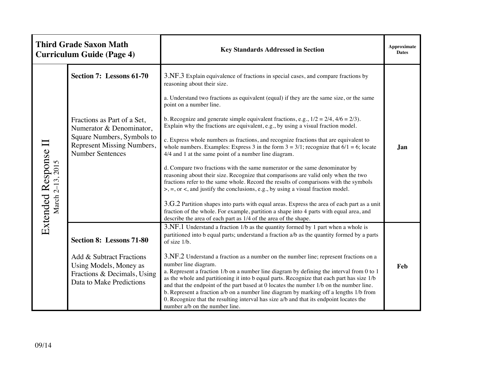|                                            | <b>Third Grade Saxon Math</b><br><b>Curriculum Guide (Page 4)</b>                                             | <b>Key Standards Addressed in Section</b>                                                                                                                                                                                                                                                                                                                                                                                                                                                                                                                                                                                  | <b>Approximate</b><br><b>Dates</b> |
|--------------------------------------------|---------------------------------------------------------------------------------------------------------------|----------------------------------------------------------------------------------------------------------------------------------------------------------------------------------------------------------------------------------------------------------------------------------------------------------------------------------------------------------------------------------------------------------------------------------------------------------------------------------------------------------------------------------------------------------------------------------------------------------------------------|------------------------------------|
| Extended Response II<br>2015<br>March 2-13 | Section 7: Lessons 61-70                                                                                      | 3.NF.3 Explain equivalence of fractions in special cases, and compare fractions by<br>reasoning about their size.                                                                                                                                                                                                                                                                                                                                                                                                                                                                                                          |                                    |
|                                            |                                                                                                               | a. Understand two fractions as equivalent (equal) if they are the same size, or the same<br>point on a number line.                                                                                                                                                                                                                                                                                                                                                                                                                                                                                                        |                                    |
|                                            | Fractions as Part of a Set,<br>Numerator & Denominator,                                                       | b. Recognize and generate simple equivalent fractions, e.g., $1/2 = 2/4$ , $4/6 = 2/3$ ).<br>Explain why the fractions are equivalent, e.g., by using a visual fraction model.                                                                                                                                                                                                                                                                                                                                                                                                                                             |                                    |
|                                            | Square Numbers, Symbols to<br>Represent Missing Numbers,<br><b>Number Sentences</b>                           | c. Express whole numbers as fractions, and recognize fractions that are equivalent to<br>whole numbers. Examples: Express 3 in the form $3 = 3/1$ ; recognize that $6/1 = 6$ ; locate<br>4/4 and 1 at the same point of a number line diagram.                                                                                                                                                                                                                                                                                                                                                                             | Jan                                |
|                                            |                                                                                                               | d. Compare two fractions with the same numerator or the same denominator by<br>reasoning about their size. Recognize that comparisons are valid only when the two<br>fractions refer to the same whole. Record the results of comparisons with the symbols<br>$\ge$ , =, or <, and justify the conclusions, e.g., by using a visual fraction model.                                                                                                                                                                                                                                                                        |                                    |
|                                            |                                                                                                               | 3.G.2 Partition shapes into parts with equal areas. Express the area of each part as a unit<br>fraction of the whole. For example, partition a shape into 4 parts with equal area, and<br>describe the area of each part as 1/4 of the area of the shape.                                                                                                                                                                                                                                                                                                                                                                  |                                    |
|                                            | <b>Section 8: Lessons 71-80</b>                                                                               | 3.NF.1 Understand a fraction 1/b as the quantity formed by 1 part when a whole is<br>partitioned into b equal parts; understand a fraction a/b as the quantity formed by a parts<br>of size 1/b.                                                                                                                                                                                                                                                                                                                                                                                                                           |                                    |
|                                            | Add & Subtract Fractions<br>Using Models, Money as<br>Fractions & Decimals, Using<br>Data to Make Predictions | 3.NF.2 Understand a fraction as a number on the number line; represent fractions on a<br>number line diagram.<br>a. Represent a fraction 1/b on a number line diagram by defining the interval from 0 to 1<br>as the whole and partitioning it into b equal parts. Recognize that each part has size 1/b<br>and that the endpoint of the part based at 0 locates the number 1/b on the number line.<br>b. Represent a fraction a/b on a number line diagram by marking off a lengths 1/b from<br>0. Recognize that the resulting interval has size a/b and that its endpoint locates the<br>number a/b on the number line. | Feb                                |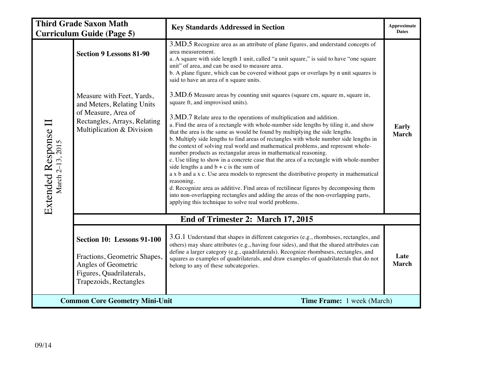|                                                                     | <b>Third Grade Saxon Math</b><br><b>Curriculum Guide (Page 5)</b>                                                                                                             | <b>Key Standards Addressed in Section</b>                                                                                                                                                                                                                                                                                                                                                                                                                                                                                                                                                                                                                                                                                                                                                                                                                                                                                                                                                                                                                                                                                                                                                                                                                                                                                                                                                                                                                                                                   | Approximate<br><b>Dates</b>  |
|---------------------------------------------------------------------|-------------------------------------------------------------------------------------------------------------------------------------------------------------------------------|-------------------------------------------------------------------------------------------------------------------------------------------------------------------------------------------------------------------------------------------------------------------------------------------------------------------------------------------------------------------------------------------------------------------------------------------------------------------------------------------------------------------------------------------------------------------------------------------------------------------------------------------------------------------------------------------------------------------------------------------------------------------------------------------------------------------------------------------------------------------------------------------------------------------------------------------------------------------------------------------------------------------------------------------------------------------------------------------------------------------------------------------------------------------------------------------------------------------------------------------------------------------------------------------------------------------------------------------------------------------------------------------------------------------------------------------------------------------------------------------------------------|------------------------------|
| Extended Response II<br>March 2-13, 2015                            | <b>Section 9 Lessons 81-90</b><br>Measure with Feet, Yards,<br>and Meters, Relating Units<br>of Measure, Area of<br>Rectangles, Arrays, Relating<br>Multiplication & Division | 3.MD.5 Recognize area as an attribute of plane figures, and understand concepts of<br>area measurement.<br>a. A square with side length 1 unit, called "a unit square," is said to have "one square<br>unit" of area, and can be used to measure area.<br>b. A plane figure, which can be covered without gaps or overlaps by n unit squares is<br>said to have an area of n square units.<br>3.MD.6 Measure areas by counting unit squares (square cm, square m, square in,<br>square ft, and improvised units).<br>3.MD.7 Relate area to the operations of multiplication and addition.<br>a. Find the area of a rectangle with whole-number side lengths by tiling it, and show<br>that the area is the same as would be found by multiplying the side lengths.<br>b. Multiply side lengths to find areas of rectangles with whole number side lengths in<br>the context of solving real world and mathematical problems, and represent whole-<br>number products as rectangular areas in mathematical reasoning.<br>c. Use tiling to show in a concrete case that the area of a rectangle with whole-number<br>side lengths a and $b + c$ is the sum of<br>a x b and a x c. Use area models to represent the distributive property in mathematical<br>reasoning.<br>d. Recognize area as additive. Find areas of rectilinear figures by decomposing them<br>into non-overlapping rectangles and adding the areas of the non-overlapping parts,<br>applying this technique to solve real world problems. | <b>Early</b><br><b>March</b> |
|                                                                     |                                                                                                                                                                               |                                                                                                                                                                                                                                                                                                                                                                                                                                                                                                                                                                                                                                                                                                                                                                                                                                                                                                                                                                                                                                                                                                                                                                                                                                                                                                                                                                                                                                                                                                             |                              |
|                                                                     | End of Trimester 2: March 17, 2015                                                                                                                                            |                                                                                                                                                                                                                                                                                                                                                                                                                                                                                                                                                                                                                                                                                                                                                                                                                                                                                                                                                                                                                                                                                                                                                                                                                                                                                                                                                                                                                                                                                                             |                              |
|                                                                     | Section 10: Lessons 91-100<br>Fractions, Geometric Shapes,<br>Angles of Geometric<br>Figures, Quadrilaterals,<br>Trapezoids, Rectangles                                       | 3.G.1 Understand that shapes in different categories (e.g., rhombuses, rectangles, and<br>others) may share attributes (e.g., having four sides), and that the shared attributes can<br>define a larger category (e.g., quadrilaterals). Recognize rhombuses, rectangles, and<br>squares as examples of quadrilaterals, and draw examples of quadrilaterals that do not<br>belong to any of these subcategories.                                                                                                                                                                                                                                                                                                                                                                                                                                                                                                                                                                                                                                                                                                                                                                                                                                                                                                                                                                                                                                                                                            | Late<br>March                |
| Time Frame: 1 week (March)<br><b>Common Core Geometry Mini-Unit</b> |                                                                                                                                                                               |                                                                                                                                                                                                                                                                                                                                                                                                                                                                                                                                                                                                                                                                                                                                                                                                                                                                                                                                                                                                                                                                                                                                                                                                                                                                                                                                                                                                                                                                                                             |                              |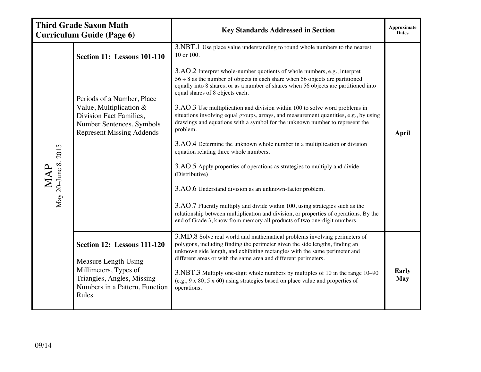|                                                         | <b>Third Grade Saxon Math</b><br><b>Curriculum Guide (Page 6)</b>                                                                                                                         | <b>Key Standards Addressed in Section</b>                                                                                                                                                                                                                                                                                                                                                                                                                                                                                                                                                                                                                                                                                                                                                                                                                                                                                                                                                                                                                                                                                                                                                           | Approximate<br><b>Dates</b> |
|---------------------------------------------------------|-------------------------------------------------------------------------------------------------------------------------------------------------------------------------------------------|-----------------------------------------------------------------------------------------------------------------------------------------------------------------------------------------------------------------------------------------------------------------------------------------------------------------------------------------------------------------------------------------------------------------------------------------------------------------------------------------------------------------------------------------------------------------------------------------------------------------------------------------------------------------------------------------------------------------------------------------------------------------------------------------------------------------------------------------------------------------------------------------------------------------------------------------------------------------------------------------------------------------------------------------------------------------------------------------------------------------------------------------------------------------------------------------------------|-----------------------------|
| $\mbox{MAP} \label{MAP} \mbox{MAP}$ May 20-June 8, 2015 | <b>Section 11: Lessons 101-110</b><br>Periods of a Number, Place<br>Value, Multiplication $&$<br>Division Fact Families,<br>Number Sentences, Symbols<br><b>Represent Missing Addends</b> | 3.NBT.1 Use place value understanding to round whole numbers to the nearest<br>10 or 100.<br>3.AO.2 Interpret whole-number quotients of whole numbers, e.g., interpret<br>$56 \div 8$ as the number of objects in each share when 56 objects are partitioned<br>equally into 8 shares, or as a number of shares when 56 objects are partitioned into<br>equal shares of 8 objects each.<br>3.AO.3 Use multiplication and division within 100 to solve word problems in<br>situations involving equal groups, arrays, and measurement quantities, e.g., by using<br>drawings and equations with a symbol for the unknown number to represent the<br>problem.<br>3.AO.4 Determine the unknown whole number in a multiplication or division<br>equation relating three whole numbers.<br>3.AO.5 Apply properties of operations as strategies to multiply and divide.<br>(Distributive)<br>3.AO.6 Understand division as an unknown-factor problem.<br>3.AO.7 Fluently multiply and divide within 100, using strategies such as the<br>relationship between multiplication and division, or properties of operations. By the<br>end of Grade 3, know from memory all products of two one-digit numbers. | <b>April</b>                |
|                                                         | <b>Section 12: Lessons 111-120</b><br>Measure Length Using<br>Millimeters, Types of<br>Triangles, Angles, Missing<br>Numbers in a Pattern, Function<br>Rules                              | 3.MD.8 Solve real world and mathematical problems involving perimeters of<br>polygons, including finding the perimeter given the side lengths, finding an<br>unknown side length, and exhibiting rectangles with the same perimeter and<br>different areas or with the same area and different perimeters.<br>3.NBT.3 Multiply one-digit whole numbers by multiples of 10 in the range 10–90<br>$(e.g., 9 x 80, 5 x 60)$ using strategies based on place value and properties of<br>operations.                                                                                                                                                                                                                                                                                                                                                                                                                                                                                                                                                                                                                                                                                                     | Early<br>May                |